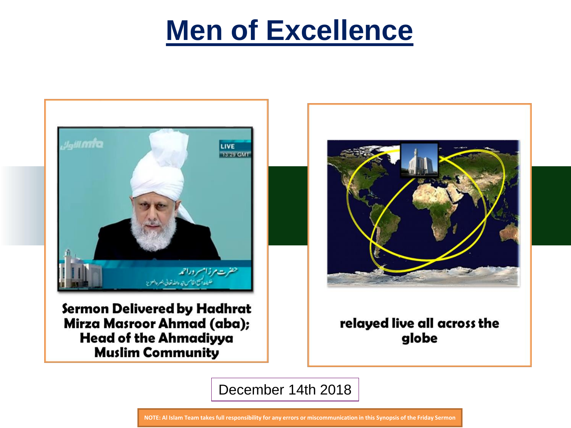

Sermon Delivered by Hadhrat Mirza Masroor Ahmad (aba); **Head of the Ahmadiyya Muslim Community** 



relayed live all across the globe

December 14th 2018

**NOTE: Al Islam Team takes full responsibility for any errors or miscommunication in this Synopsis of the Friday Sermon**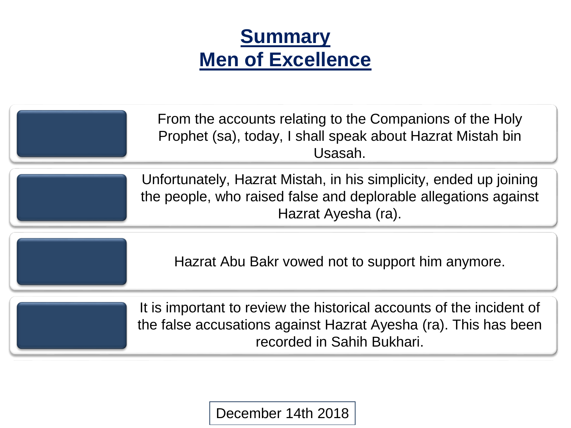

| From the accounts relating to the Companions of the Holy<br>Prophet (sa), today, I shall speak about Hazrat Mistah bin<br>Usasah.                                     |
|-----------------------------------------------------------------------------------------------------------------------------------------------------------------------|
| Unfortunately, Hazrat Mistah, in his simplicity, ended up joining<br>the people, who raised false and deplorable allegations against<br>Hazrat Ayesha (ra).           |
| Hazrat Abu Bakr vowed not to support him anymore.                                                                                                                     |
| It is important to review the historical accounts of the incident of<br>the false accusations against Hazrat Ayesha (ra). This has been<br>recorded in Sahih Bukhari. |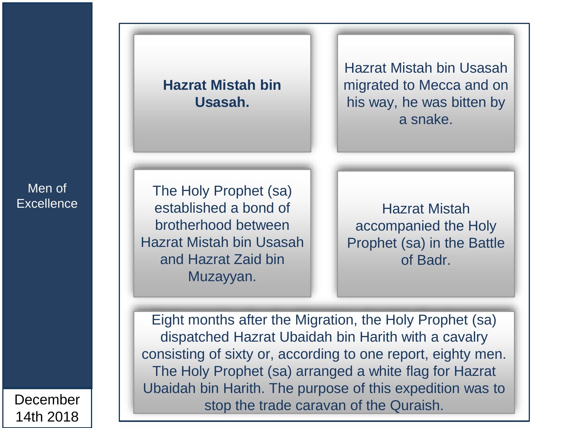## **Hazrat Mistah bin Usasah.**

Hazrat Mistah bin Usasah migrated to Mecca and on his way, he was bitten by a snake.

The Holy Prophet (sa) established a bond of brotherhood between Hazrat Mistah bin Usasah and Hazrat Zaid bin Muzayyan.

Hazrat Mistah accompanied the Holy Prophet (sa) in the Battle of Badr.

Eight months after the Migration, the Holy Prophet (sa) dispatched Hazrat Ubaidah bin Harith with a cavalry consisting of sixty or, according to one report, eighty men. The Holy Prophet (sa) arranged a white flag for Hazrat Ubaidah bin Harith. The purpose of this expedition was to stop the trade caravan of the Quraish.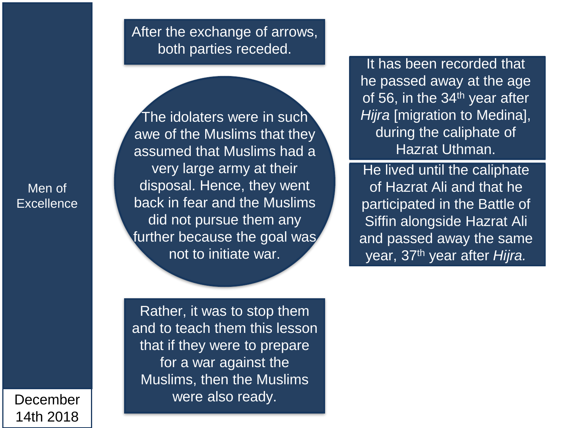## After the exchange of arrows, both parties receded.

Men of **Excellence** 

December 14th 2018

The idolaters were in such awe of the Muslims that they assumed that Muslims had a very large army at their disposal. Hence, they went back in fear and the Muslims did not pursue them any further because the goal was not to initiate war.

It has been recorded that he passed away at the age of 56, in the 34<sup>th</sup> year after *Hijra* [migration to Medina], during the caliphate of Hazrat Uthman.

He lived until the caliphate of Hazrat Ali and that he participated in the Battle of Siffin alongside Hazrat Ali and passed away the same year, 37th year after *Hijra.*

Rather, it was to stop them and to teach them this lesson that if they were to prepare for a war against the Muslims, then the Muslims were also ready.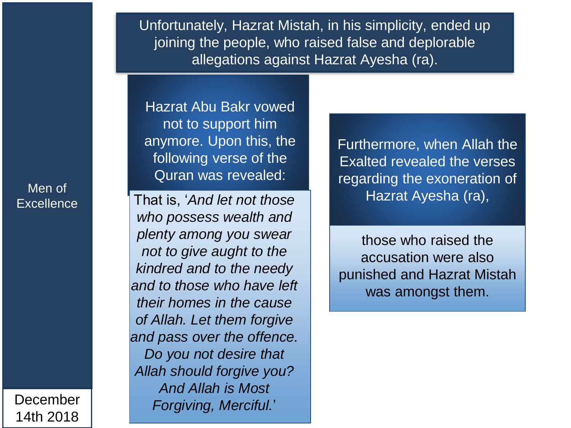Unfortunately, Hazrat Mistah, in his simplicity, ended up joining the people, who raised false and deplorable allegations against Hazrat Ayesha (ra).

Hazrat Abu Bakr vowed not to support him anymore. Upon this, the following verse of the Quran was revealed:

That is, '*And let not those who possess wealth and plenty among you swear not to give aught to the kindred and to the needy and to those who have left their homes in the cause of Allah. Let them forgive and pass over the offence. Do you not desire that Allah should forgive you? And Allah is Most Forgiving, Merciful.*'

Furthermore, when Allah the Exalted revealed the verses regarding the exoneration of Hazrat Ayesha (ra),

those who raised the accusation were also punished and Hazrat Mistah was amongst them.

Men of **Excellence**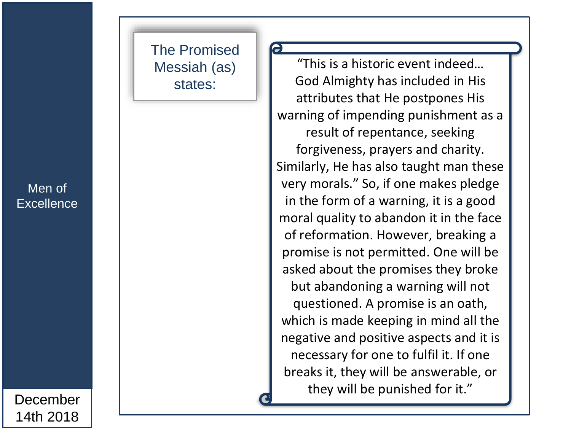# The Promised Messiah (as) states:

Men of **Excellence** 

December 14th 2018

"This is a historic event indeed… God Almighty has included in His attributes that He postpones His warning of impending punishment as a result of repentance, seeking forgiveness, prayers and charity. Similarly, He has also taught man these very morals." So, if one makes pledge in the form of a warning, it is a good moral quality to abandon it in the face of reformation. However, breaking a promise is not permitted. One will be asked about the promises they broke but abandoning a warning will not questioned. A promise is an oath, which is made keeping in mind all the negative and positive aspects and it is necessary for one to fulfil it. If one breaks it, they will be answerable, or they will be punished for it."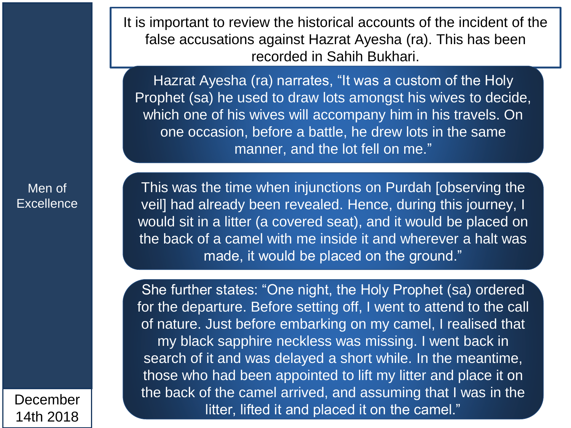It is important to review the historical accounts of the incident of the false accusations against Hazrat Ayesha (ra). This has been recorded in Sahih Bukhari.

Hazrat Ayesha (ra) narrates, "It was a custom of the Holy Prophet (sa) he used to draw lots amongst his wives to decide, which one of his wives will accompany him in his travels. On one occasion, before a battle, he drew lots in the same manner, and the lot fell on me."

Men of **Excellence** 

This was the time when injunctions on Purdah [observing the veil] had already been revealed. Hence, during this journey, I would sit in a litter (a covered seat), and it would be placed on the back of a camel with me inside it and wherever a halt was made, it would be placed on the ground."

She further states: "One night, the Holy Prophet (sa) ordered for the departure. Before setting off, I went to attend to the call of nature. Just before embarking on my camel, I realised that my black sapphire neckless was missing. I went back in search of it and was delayed a short while. In the meantime, those who had been appointed to lift my litter and place it on the back of the camel arrived, and assuming that I was in the litter, lifted it and placed it on the camel."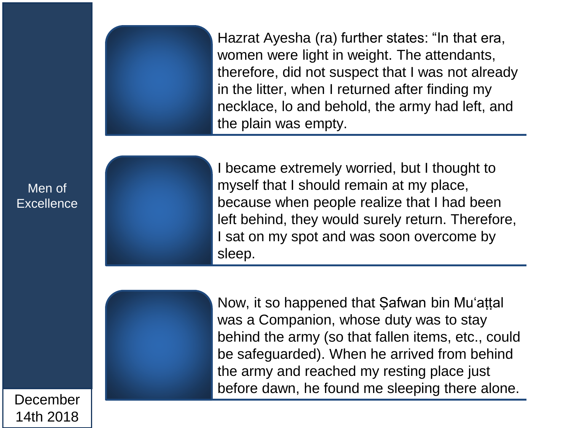Hazrat Ayesha (ra) further states: "In that era, women were light in weight. The attendants, therefore, did not suspect that I was not already in the litter, when I returned after finding my necklace, lo and behold, the army had left, and the plain was empty.

Men of **Excellence** 

December

14th 2018

I became extremely worried, but I thought to myself that I should remain at my place, because when people realize that I had been left behind, they would surely return. Therefore, I sat on my spot and was soon overcome by sleep.



Now, it so happened that Safwan bin Mu'attal was a Companion, whose duty was to stay behind the army (so that fallen items, etc., could be safeguarded). When he arrived from behind the army and reached my resting place just before dawn, he found me sleeping there alone.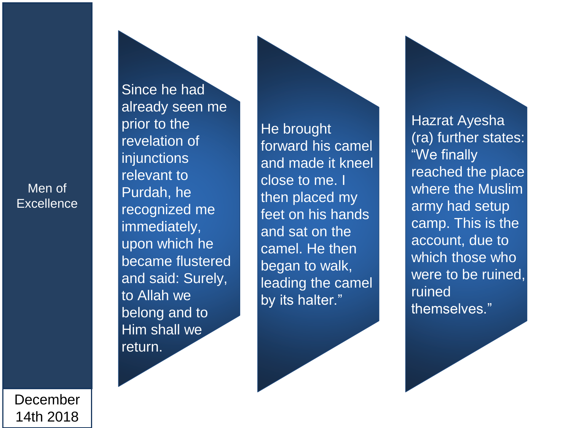Since he had already seen me prior to the revelation of **injunctions** relevant to Purdah, he recognized me immediately, upon which he became flustered and said: Surely, to Allah we belong and to Him shall we return.

He brought forward his camel and made it kneel close to me. I then placed my feet on his hands and sat on the camel. He then began to walk, leading the camel by its halter."

Hazrat Ayesha<br>(ra) further states: "We finally reached the place where the Muslim army had setup camp. This is the account, due to which those who were to be ruined, ruined themselves."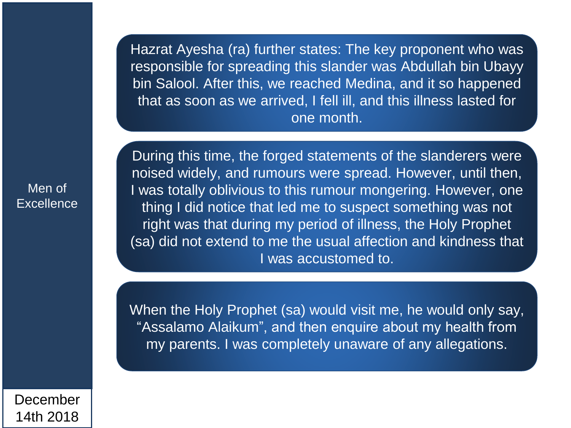Hazrat Ayesha (ra) further states: The key proponent who was responsible for spreading this slander was Abdullah bin Ubayy bin Salool. After this, we reached Medina, and it so happened that as soon as we arrived, I fell ill, and this illness lasted for one month.

Men of **Excellence**  During this time, the forged statements of the slanderers were noised widely, and rumours were spread. However, until then, I was totally oblivious to this rumour mongering. However, one thing I did notice that led me to suspect something was not right was that during my period of illness, the Holy Prophet (sa) did not extend to me the usual affection and kindness that I was accustomed to.

When the Holy Prophet (sa) would visit me, he would only say, "Assalamo Alaikum", and then enquire about my health from my parents. I was completely unaware of any allegations.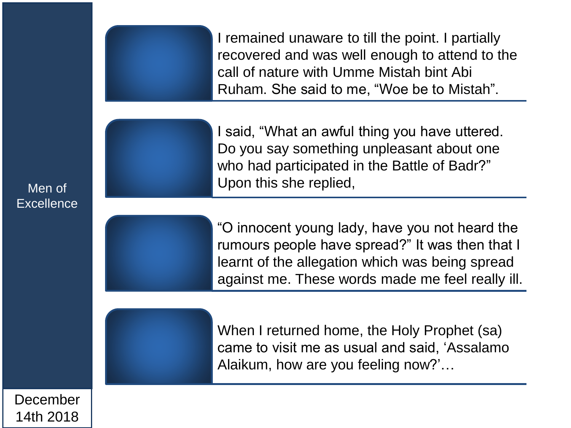I remained unaware to till the point. I partially recovered and was well enough to attend to the call of nature with Umme Mistah bint Abi Ruham. She said to me, "Woe be to Mistah".

I said, "What an awful thing you have uttered. Do you say something unpleasant about one who had participated in the Battle of Badr?" Upon this she replied,

"O innocent young lady, have you not heard the rumours people have spread?" It was then that I learnt of the allegation which was being spread against me. These words made me feel really ill.

When I returned home, the Holy Prophet (sa) came to visit me as usual and said, 'Assalamo Alaikum, how are you feeling now?'…

Men of **Excellence** 

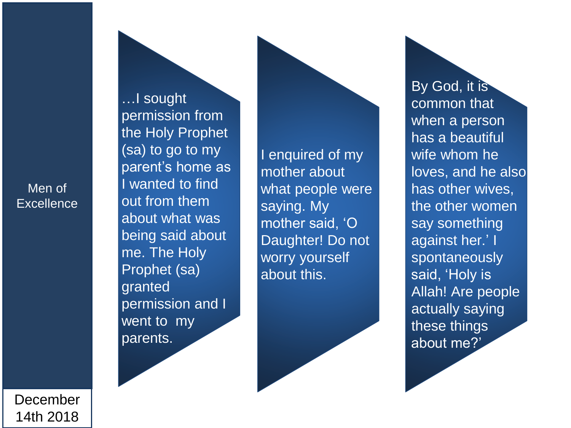…I sought permission from the Holy Prophet (sa) to go to my parent's home as I wanted to find out from them about what was being said about me. The Holy Prophet (sa) granted permission and I went to my parents .

I enquired of my mother about what people were saying. My mother said, 'O Daughter! Do not worry yourself about this.

By God, it is common that when a person has a beautiful wife whom he loves, and he also has other wives, the other women say something against her.' I spontaneously said, 'Holy is Allah! Are people actually saying these things about me?'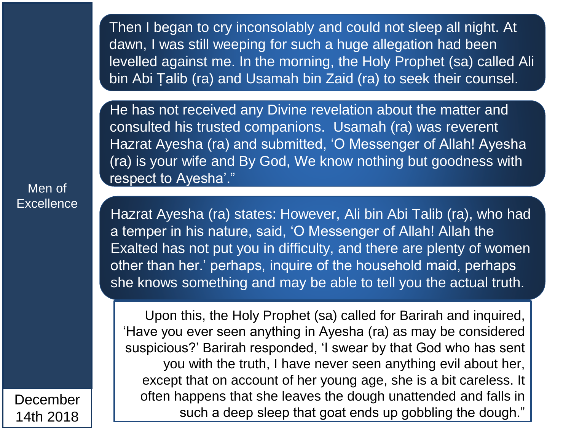Then I began to cry inconsolably and could not sleep all night. At dawn, I was still weeping for such a huge allegation had been levelled against me. In the morning, the Holy Prophet (sa) called Ali bin Abi Ṭalib (ra) and Usamah bin Zaid (ra) to seek their counsel.

He has not received any Divine revelation about the matter and consulted his trusted companions. Usamah (ra) was reverent Hazrat Ayesha (ra) and submitted, 'O Messenger of Allah! Ayesha (ra) is your wife and By God, We know nothing but goodness with respect to Ayesha'."

Hazrat Ayesha (ra) states: However, Ali bin Abi Talib (ra), who had a temper in his nature, said, 'O Messenger of Allah! Allah the Exalted has not put you in difficulty, and there are plenty of women other than her.' perhaps, inquire of the household maid, perhaps she knows something and may be able to tell you the actual truth.

Upon this, the Holy Prophet (sa) called for Barirah and inquired, 'Have you ever seen anything in Ayesha (ra) as may be considered suspicious?' Barirah responded, 'I swear by that God who has sent you with the truth, I have never seen anything evil about her, except that on account of her young age, she is a bit careless. It often happens that she leaves the dough unattended and falls in such a deep sleep that goat ends up gobbling the dough."

Men of **Excellence**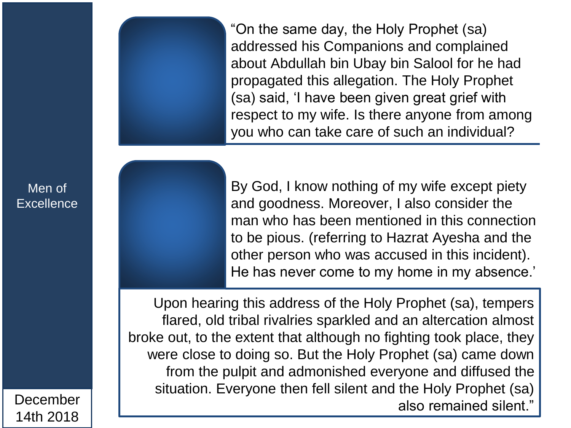"On the same day, the Holy Prophet (sa) addressed his Companions and complained about Abdullah bin Ubay bin Salool for he had propagated this allegation. The Holy Prophet (sa) said, 'I have been given great grief with respect to my wife. Is there anyone from among you who can take care of such an individual?

By God, I know nothing of my wife except piety and goodness. Moreover, I also consider the man who has been mentioned in this connection to be pious. (referring to Hazrat Ayesha and the other person who was accused in this incident). He has never come to my home in my absence.'

Upon hearing this address of the Holy Prophet (sa), tempers flared, old tribal rivalries sparkled and an altercation almost broke out, to the extent that although no fighting took place, they were close to doing so. But the Holy Prophet (sa) came down from the pulpit and admonished everyone and diffused the situation. Everyone then fell silent and the Holy Prophet (sa) December | | <sup>Creative</sup> The site of the site of the site and the respectively.

Men of **Excellence** 

14th 2018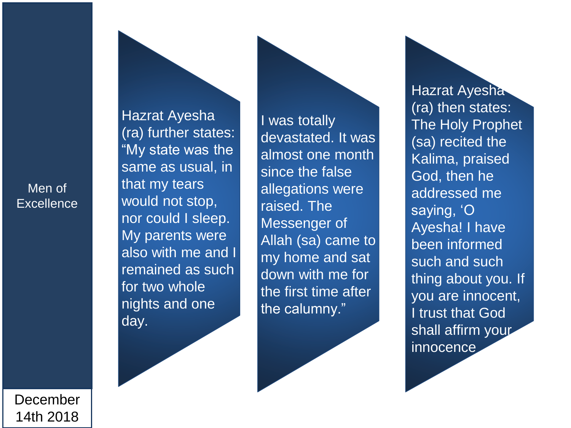Hazrat Ayesha<br>(ra) further states: "My state was the same as usual, in that my tears would not stop, nor could I sleep. My parents were also with me and I remained as such for two whole nights and one day.

I was totally devastated. It was almost one month since the false allegations were raised. The Messenger of Allah (sa) came to my home and sat down with me for the first time after the calumny."

**Hazrat Ayeshay** (ra) then states: The Holy Prophet (sa) recited the Kalima, praised God, then he addressed me saying, 'O Ayesha! I have been informed such and such thing about you. If you are innocent, I trust that God shall affirm your innocence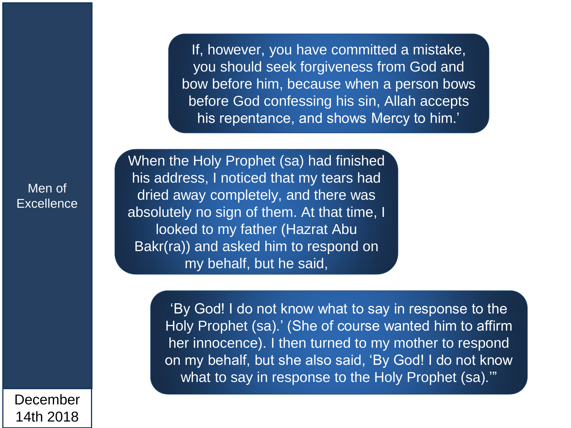If, however, you have committed a mistake, you should seek forgiveness from God and bow before him, because when a person bows before God confessing his sin, Allah accepts his repentance, and shows Mercy to him.'

Men of **Excellence** 

When the Holy Prophet (sa) had finished his address, I noticed that my tears had dried away completely, and there was absolutely no sign of them. At that time, I looked to my father (Hazrat Abu Bakr(ra)) and asked him to respond on my behalf, but he said,

> 'By God! I do not know what to say in response to the Holy Prophet (sa).' (She of course wanted him to affirm her innocence). I then turned to my mother to respond on my behalf, but she also said, 'By God! I do not know what to say in response to the Holy Prophet (sa)."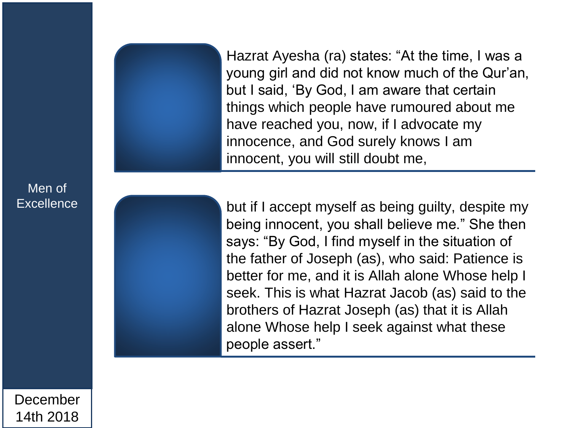Hazrat Ayesha (ra) states: "At the time, I was a young girl and did not know much of the Qur'an, but I said, 'By God, I am aware that certain things which people have rumoured about me have reached you, now, if I advocate my innocence, and God surely knows I am innocent, you will still doubt me,

but if I accept myself as being guilty, despite my being innocent, you shall believe me." She then says: "By God, I find myself in the situation of the father of Joseph (as), who said: Patience is better for me, and it is Allah alone Whose help I seek. This is what Hazrat Jacob (as) said to the brothers of Hazrat Joseph (as) that it is Allah alone Whose help I seek against what these people assert."

December 14th 2018

Men of

**Excellence**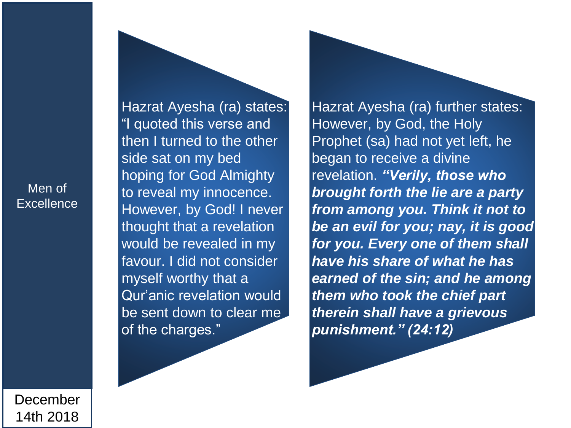Hazrat Ayesha (ra) states: "I quoted this verse and then I turned to the other side sat on my bed hoping for God Almighty to reveal my innocence. However, by God! I never thought that a revelation would be revealed in my favour. I did not consider myself worthy that a Qur'anic revelation would be sent down to clear me of the charges."

Hazrat Ayesha (ra) further states: However, by God, the Holy Prophet (sa) had not yet left, he began to receive a divine revelation. *"Verily, those who brought forth the lie are a party from among you. Think it not to be an evil for you; nay, it is good for you. Every one of them shall have his share of what he has earned of the sin; and he among them who took the chief part therein shall have a grievous punishment." (24:12)*